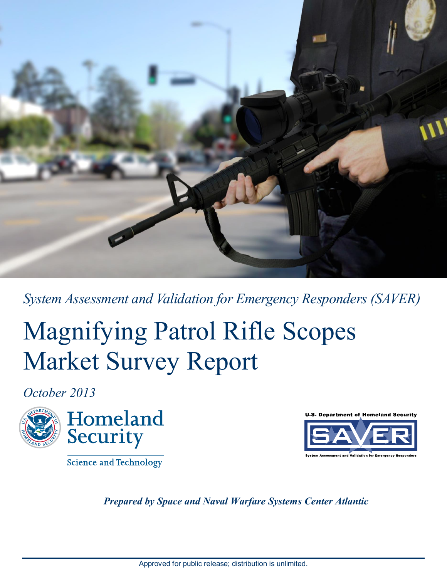

*System Assessment and Validation for Emergency Responders (SAVER)*

# Magnifying Patrol Rifle Scopes Market Survey Report

*October 2013*



Science and Technology



*Prepared by Space and Naval Warfare Systems Center Atlantic*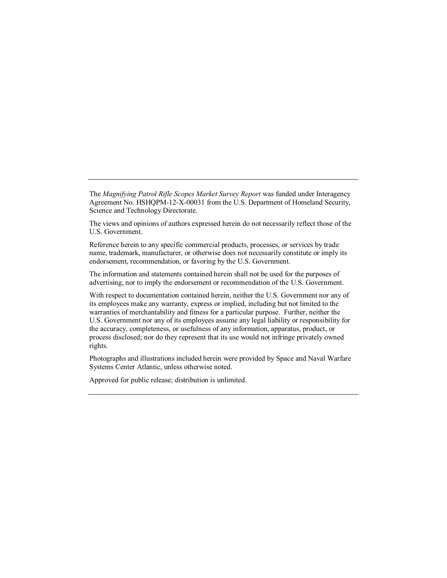The *Magnifying Patrol Rifle Scopes Market Survey Report* was funded under Interagency Agreement No. HSHQPM-12-X-00031 from the U.S. Department of Homeland Security, Science and Technology Directorate.

The views and opinions of authors expressed herein do not necessarily reflect those of the U.S. Government.

Reference herein to any specific commercial products, processes, or services by trade name, trademark, manufacturer, or otherwise does not necessarily constitute or imply its endorsement, recommendation, or favoring by the U.S. Government.

The information and statements contained herein shall not be used for the purposes of advertising, nor to imply the endorsement or recommendation of the U.S. Government.

With respect to documentation contained herein, neither the U.S. Government nor any of its employees make any warranty, express or implied, including but not limited to the warranties of merchantability and fitness for a particular purpose. Further, neither the U.S. Government nor any of its employees assume any legal liability or responsibility for the accuracy, completeness, or usefulness of any information, apparatus, product, or process disclosed; nor do they represent that its use would not infringe privately owned rights.

Photographs and illustrations included herein were provided by Space and Naval Warfare Systems Center Atlantic, unless otherwise noted.

Approved for public release; distribution is unlimited.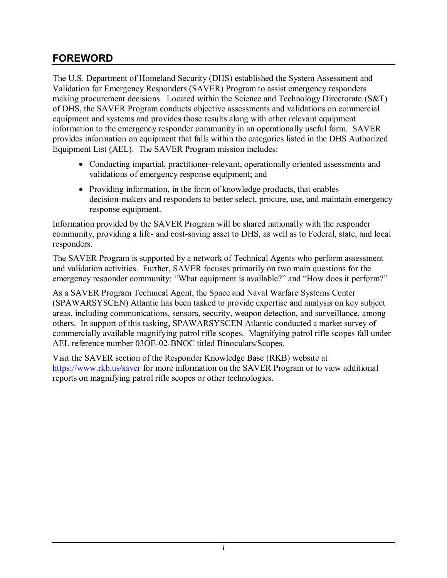### <span id="page-2-0"></span>**FOREWORD**

The U.S. Department of Homeland Security (DHS) established the System Assessment and Validation for Emergency Responders (SAVER) Program to assist emergency responders making procurement decisions. Located within the Science and Technology Directorate (S&T) of DHS, the SAVER Program conducts objective assessments and validations on commercial equipment and systems and provides those results along with other relevant equipment information to the emergency responder community in an operationally useful form. SAVER provides information on equipment that falls within the categories listed in the DHS Authorized Equipment List (AEL). The SAVER Program mission includes:

- Conducting impartial, practitioner-relevant, operationally oriented assessments and validations of emergency response equipment; and
- Providing information, in the form of knowledge products, that enables decision-makers and responders to better select, procure, use, and maintain emergency response equipment.

Information provided by the SAVER Program will be shared nationally with the responder community, providing a life- and cost-saving asset to DHS, as well as to Federal, state, and local responders.

The SAVER Program is supported by a network of Technical Agents who perform assessment and validation activities. Further, SAVER focuses primarily on two main questions for the emergency responder community: "What equipment is available?" and "How does it perform?"

As a SAVER Program Technical Agent, the Space and Naval Warfare Systems Center (SPAWARSYSCEN) Atlantic has been tasked to provide expertise and analysis on key subject areas, including communications, sensors, security, weapon detection, and surveillance, among others. In support of this tasking, SPAWARSYSCEN Atlantic conducted a market survey of commercially available magnifying patrol rifle scopes. Magnifying patrol rifle scopes fall under AEL reference number 03OE-02-BNOC titled Binoculars/Scopes.

Visit the SAVER section of the Responder Knowledge Base (RKB) website at <https://www.rkb.us/saver>for more information on the SAVER Program or to view additional reports on magnifying patrol rifle scopes or other technologies.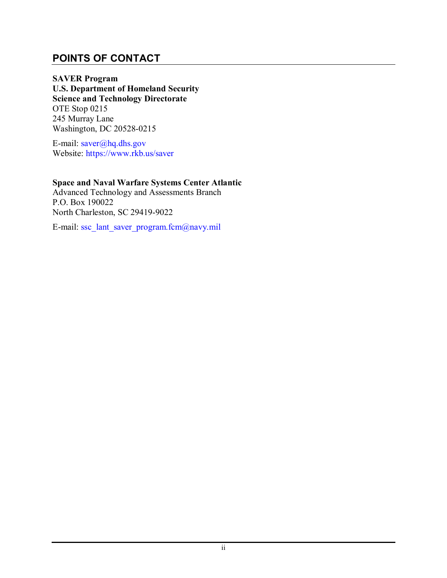#### <span id="page-3-0"></span>**POINTS OF CONTACT**

**SAVER Program U.S. Department of Homeland Security Science and Technology Directorate**  OTE Stop 0215 245 Murray Lane Washington, DC 20528-0215

E-mail: [saver@hq.dhs.gov](mailto:saver@hq.dhs.gov) Website:<https://www.rkb.us/saver>

#### **Space and Naval Warfare Systems Center Atlantic**

Advanced Technology and Assessments Branch P.O. Box 190022 North Charleston, SC 29419-9022

E-mail: [ssc\\_lant\\_saver\\_program.fcm@navy.mil](mailto:ssc_lant_saver_program.fcm@navy.mil)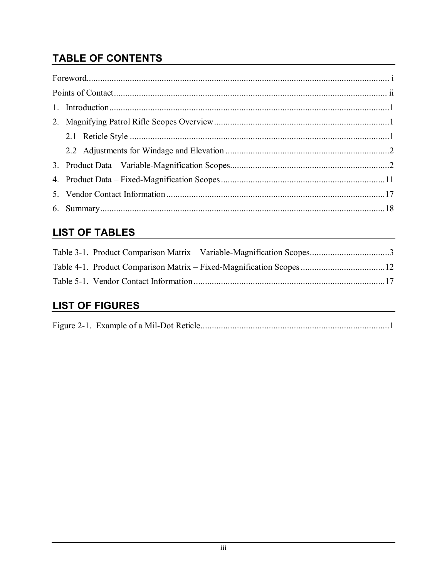# **TABLE OF CONTENTS**

| $\label{eq:1} \textbf{For} \textbf{word}. \textit{1} \textit{1} \textit{2} \textit{1} \textit{2} \textit{2} \textit{3} \textit{3} \textit{4} \textit{5} \textit{5} \textit{6} \textit{6} \textit{7} \textit{7} \textit{8} \textit{8} \textit{9} \textit{1} \textit{1} \textit{1} \textit{1} \textit{1} \textit{1} \textit{1} \textit{1} \textit{1} \textit{1} \textit{1} \textit{1} \textit{1} \textit{1} \textit{1} \textit$ |  |
|-------------------------------------------------------------------------------------------------------------------------------------------------------------------------------------------------------------------------------------------------------------------------------------------------------------------------------------------------------------------------------------------------------------------------------|--|
|                                                                                                                                                                                                                                                                                                                                                                                                                               |  |
|                                                                                                                                                                                                                                                                                                                                                                                                                               |  |
|                                                                                                                                                                                                                                                                                                                                                                                                                               |  |
|                                                                                                                                                                                                                                                                                                                                                                                                                               |  |
|                                                                                                                                                                                                                                                                                                                                                                                                                               |  |
|                                                                                                                                                                                                                                                                                                                                                                                                                               |  |
|                                                                                                                                                                                                                                                                                                                                                                                                                               |  |
|                                                                                                                                                                                                                                                                                                                                                                                                                               |  |
|                                                                                                                                                                                                                                                                                                                                                                                                                               |  |

## **LIST OF TABLES**

## **LIST OF FIGURES**

|--|--|--|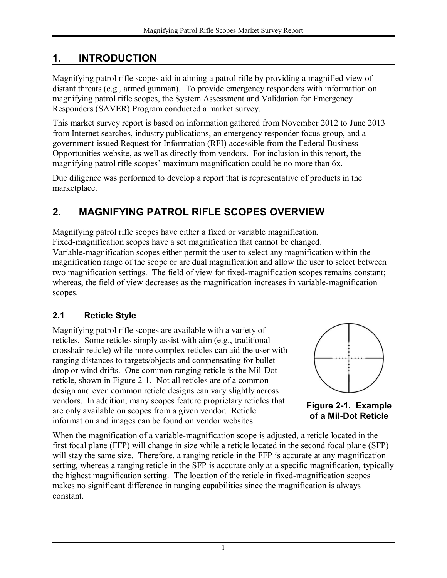## <span id="page-5-0"></span>**1. INTRODUCTION**

Magnifying patrol rifle scopes aid in aiming a patrol rifle by providing a magnified view of distant threats (e.g., armed gunman). To provide emergency responders with information on magnifying patrol rifle scopes, the System Assessment and Validation for Emergency Responders (SAVER) Program conducted a market survey.

This market survey report is based on information gathered from November 2012 to June 2013 from Internet searches, industry publications, an emergency responder focus group, and a government issued Request for Information (RFI) accessible from the Federal Business Opportunities website, as well as directly from vendors. For inclusion in this report, the magnifying patrol rifle scopes' maximum magnification could be no more than 6x.

Due diligence was performed to develop a report that is representative of products in the marketplace.

## <span id="page-5-1"></span>**2. MAGNIFYING PATROL RIFLE SCOPES OVERVIEW**

Magnifying patrol rifle scopes have either a fixed or variable magnification. Fixed-magnification scopes have a set magnification that cannot be changed. Variable-magnification scopes either permit the user to select any magnification within the magnification range of the scope or are dual magnification and allow the user to select between two magnification settings. The field of view for fixed-magnification scopes remains constant; whereas, the field of view decreases as the magnification increases in variable-magnification scopes.

### <span id="page-5-2"></span>**2.1 Reticle Style**

Magnifying patrol rifle scopes are available with a variety of reticles. Some reticles simply assist with aim (e.g., traditional crosshair reticle) while more complex reticles can aid the user with ranging distances to targets/objects and compensating for bullet drop or wind drifts. One common ranging reticle is the Mil-Dot reticle, shown in Figure 2-1. Not all reticles are of a common design and even common reticle designs can vary slightly across vendors. In addition, many scopes feature proprietary reticles that are only available on scopes from a given vendor. Reticle information and images can be found on vendor websites.



<span id="page-5-3"></span>**Figure 2-1. Example of a Mil-Dot Reticle**

When the magnification of a variable-magnification scope is adjusted, a reticle located in the first focal plane (FFP) will change in size while a reticle located in the second focal plane (SFP) will stay the same size. Therefore, a ranging reticle in the FFP is accurate at any magnification setting, whereas a ranging reticle in the SFP is accurate only at a specific magnification, typically the highest magnification setting. The location of the reticle in fixed-magnification scopes makes no significant difference in ranging capabilities since the magnification is always constant.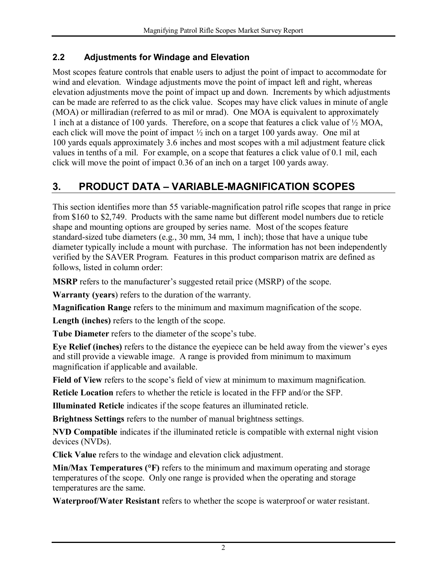#### <span id="page-6-0"></span>**2.2 Adjustments for Windage and Elevation**

Most scopes feature controls that enable users to adjust the point of impact to accommodate for wind and elevation. Windage adjustments move the point of impact left and right, whereas elevation adjustments move the point of impact up and down. Increments by which adjustments can be made are referred to as the click value. Scopes may have click values in minute of angle (MOA) or milliradian (referred to as mil or mrad). One MOA is equivalent to approximately 1 inch at a distance of 100 yards. Therefore, on a scope that features a click value of ½ MOA, each click will move the point of impact ½ inch on a target 100 yards away. One mil at 100 yards equals approximately 3.6 inches and most scopes with a mil adjustment feature click values in tenths of a mil. For example, on a scope that features a click value of 0.1 mil, each click will move the point of impact 0.36 of an inch on a target 100 yards away.

## <span id="page-6-1"></span>**3. PRODUCT DATA – VARIABLE-MAGNIFICATION SCOPES**

This section identifies more than 55 variable-magnification patrol rifle scopes that range in price from \$160 to \$2,749. Products with the same name but different model numbers due to reticle shape and mounting options are grouped by series name. Most of the scopes feature standard-sized tube diameters (e.g., 30 mm, 34 mm, 1 inch); those that have a unique tube diameter typically include a mount with purchase. The information has not been independently verified by the SAVER Program. Features in this product comparison matrix are defined as follows, listed in column order:

**MSRP** refers to the manufacturer's suggested retail price (MSRP) of the scope.

**Warranty (years**) refers to the duration of the warranty.

**Magnification Range** refers to the minimum and maximum magnification of the scope.

**Length (inches)** refers to the length of the scope.

**Tube Diameter** refers to the diameter of the scope's tube.

**Eye Relief (inches)** refers to the distance the eyepiece can be held away from the viewer's eyes and still provide a viewable image. A range is provided from minimum to maximum magnification if applicable and available.

**Field of View** refers to the scope's field of view at minimum to maximum magnification.

**Reticle Location** refers to whether the reticle is located in the FFP and/or the SFP.

**Illuminated Reticle** indicates if the scope features an illuminated reticle.

**Brightness Settings** refers to the number of manual brightness settings.

**NVD Compatible** indicates if the illuminated reticle is compatible with external night vision devices (NVDs).

**Click Value** refers to the windage and elevation click adjustment.

**Min/Max Temperatures (°F)** refers to the minimum and maximum operating and storage temperatures of the scope. Only one range is provided when the operating and storage temperatures are the same.

**Waterproof/Water Resistant** refers to whether the scope is waterproof or water resistant.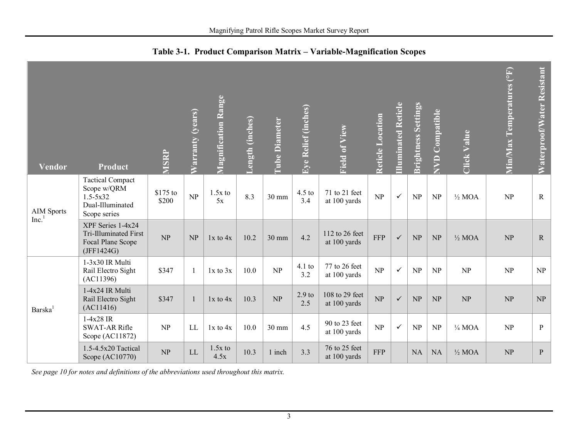<span id="page-7-0"></span>

| <b>Vendor</b>                          | <b>Product</b>                                                                             | MSRP              | Warranty (years) | <b>Magnification Range</b> | ength (inches) | <b>Tube Diameter</b> | Eye Relief (inches)      | Field of View                  | Reticle Location | <b>Illuminated Reticle</b> | <b>Brightness Settings</b> | <b>NVD Compatible</b>           | <b>Click Value</b> | Min/Max Temperatures (°F) | Waterproof/Water Resistant |
|----------------------------------------|--------------------------------------------------------------------------------------------|-------------------|------------------|----------------------------|----------------|----------------------|--------------------------|--------------------------------|------------------|----------------------------|----------------------------|---------------------------------|--------------------|---------------------------|----------------------------|
| <b>AIM Sports</b><br>Inc. <sup>1</sup> | <b>Tactical Compact</b><br>Scope w/QRM<br>$1.5 - 5x32$<br>Dual-Illuminated<br>Scope series | \$175 to<br>\$200 | NP               | $1.5x$ to<br>5x            | 8.3            | $30 \text{ mm}$      | $4.5$ to<br>3.4          | 71 to 21 feet<br>at 100 yards  | NP               | $\checkmark$               | NP                         | NP                              | $\frac{1}{2}$ MOA  | NP                        | $\mathbf R$                |
|                                        | XPF Series 1-4x24<br>Tri-Illuminated First<br>Focal Plane Scope<br>(JFF1424G)              | NP                | NP               | $1x$ to $4x$               | 10.2           | 30 mm                | 4.2                      | 112 to 26 feet<br>at 100 yards | <b>FFP</b>       | $\checkmark$               | NP                         | $\ensuremath{\text{NP}}\xspace$ | $\frac{1}{2}$ MOA  | NP                        | ${\bf R}$                  |
|                                        | $1-3x30$ IR Multi<br>Rail Electro Sight<br>(AC11396)                                       | \$347             |                  | $1x$ to $3x$               | 10.0           | NP                   | $4.1$ to<br>3.2          | 77 to 26 feet<br>at 100 yards  | NP               | $\checkmark$               | NP                         | NP                              | NP                 | NP                        | NP                         |
| Barska <sup>1</sup>                    | 1-4x24 IR Multi<br>Rail Electro Sight<br>(AC11416)                                         | \$347             |                  | $1x$ to $4x$               | 10.3           | NP                   | 2.9 <sub>to</sub><br>2.5 | 108 to 29 feet<br>at 100 yards | NP               | $\checkmark$               | NP                         | NP                              | NP                 | NP                        | NP                         |
|                                        | $1-4x28$ IR<br><b>SWAT-AR Rifle</b><br>Scope (AC11872)                                     | NP                | LL               | $1x$ to $4x$               | 10.0           | 30 mm                | 4.5                      | 90 to 23 feet<br>at 100 yards  | NP               | $\checkmark$               | NP                         | NP                              | $\frac{1}{4}$ MOA  | NP                        | $\mathbf{P}$               |
|                                        | 1.5-4.5x20 Tactical<br>Scope (AC10770)                                                     | NP                | LL               | $1.5x$ to<br>4.5x          | 10.3           | 1 inch               | 3.3                      | 76 to 25 feet<br>at 100 yards  | <b>FFP</b>       |                            | <b>NA</b>                  | <b>NA</b>                       | $\frac{1}{2}$ MOA  | NP                        | $\mathbf{P}$               |

**Table 3-1. Product Comparison Matrix – Variable-Magnification Scopes** 

*See page 10 for notes and definitions of the abbreviations used throughout this matrix.*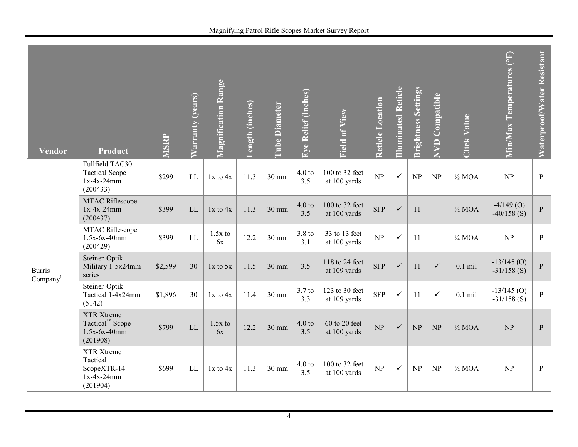| <b>Vendor</b>                         | <b>Product</b>                                                          | <b>MSRP</b> | Warranty (years) | Magnification Range | Length (inches) | <b>Tube Diameter</b> | Eye Relief (inches)      | <b>Field of View</b>            | Reticle Location | <b>Illuminated Reticle</b> | <b>Brightness Settings</b>      | <b>NVD</b> Compatible | <b>Click Value</b> | Min/Max Temperatures (°F)      | Waterproof/Water Resistant |
|---------------------------------------|-------------------------------------------------------------------------|-------------|------------------|---------------------|-----------------|----------------------|--------------------------|---------------------------------|------------------|----------------------------|---------------------------------|-----------------------|--------------------|--------------------------------|----------------------------|
|                                       | Fullfield TAC30<br><b>Tactical Scope</b><br>$1x-4x-24mm$<br>(200433)    | \$299       | LL               | $1x$ to $4x$        | 11.3            | 30 mm                | 4.0 t<br>3.5             | 100 to 32 feet<br>at 100 yards  | NP               | $\checkmark$               | NP                              | NP                    | $\frac{1}{2}$ MOA  | NP                             | $\, {\bf P}$               |
|                                       | MTAC Riflescope<br>$1x-4x-24mm$<br>(200437)                             | \$399       | <b>LL</b>        | $1x$ to $4x$        | 11.3            | 30 mm                | 4.0 t<br>3.5             | 100 to 32 feet<br>at 100 yards  | <b>SFP</b>       | $\checkmark$               | 11                              |                       | $\frac{1}{2}$ MOA  | $-4/149$ (O)<br>$-40/158$ (S)  | $\overline{P}$             |
|                                       | <b>MTAC Riflescope</b><br>$1.5x-6x-40mm$<br>(200429)                    | \$399       | LL               | $1.5x$ to<br>6x     | 12.2            | 30 mm                | 3.8 <sub>to</sub><br>3.1 | 33 to 13 feet<br>at 100 yards   | NP               | $\checkmark$               | 11                              |                       | $\frac{1}{4}$ MOA  | NP                             | $\, {\bf P}$               |
| <b>Burris</b><br>Company <sup>1</sup> | Steiner-Optik<br>Military 1-5x24mm<br>series                            | \$2,599     | 30               | $1x$ to $5x$        | 11.5            | 30 mm                | 3.5                      | 118 to 24 feet<br>at 109 yards  | <b>SFP</b>       | $\checkmark$               | 11                              | $\checkmark$          | $0.1$ mil          | $-13/145$ (O)<br>$-31/158$ (S) | $\, {\bf P}$               |
|                                       | Steiner-Optik<br>Tactical 1-4x24mm<br>(5142)                            | \$1,896     | 30               | $1x$ to $4x$        | 11.4            | 30 mm                | $3.7$ to<br>3.3          | 123 to 30 feet<br>at 109 yards  | <b>SFP</b>       | $\checkmark$               | 11                              | $\checkmark$          | $0.1$ mil          | $-13/145$ (O)<br>$-31/158$ (S) | $\mathbf{P}$               |
|                                       | XTR Xtreme<br>Tactical <sup>™</sup> Scope<br>$1.5x-6x-40mm$<br>(201908) | \$799       | LL               | $1.5x$ to<br>6x     | 12.2            | 30 mm                | 4.0 t<br>3.5             | $60$ to 20 feet<br>at 100 yards | NP               | $\checkmark$               | NP                              | NP                    | $\frac{1}{2}$ MOA  | NP                             | $\, {\bf P}$               |
|                                       | XTR Xtreme<br>Tactical<br>ScopeXTR-14<br>$1x-4x-24mm$<br>(201904)       | \$699       | LL               | $1x$ to $4x$        | 11.3            | 30 mm                | 4.0 t<br>3.5             | 100 to 32 feet<br>at 100 yards  | NP               | $\checkmark$               | $\ensuremath{\text{NP}}\xspace$ | NP                    | $\frac{1}{2}$ MOA  | NP                             | $\, {\bf P}$               |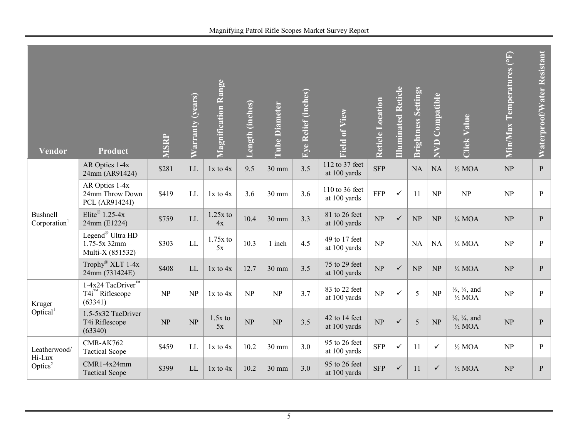| Magnifying Patrol Rifle Scopes Market Survey Report |  |  |  |
|-----------------------------------------------------|--|--|--|
|-----------------------------------------------------|--|--|--|

| Vendor                               | Product                                                                    | <b>MSRP</b> | Warranty (years) | <b>Magnification Range</b> | Length (inches) | <b>Tube Diameter</b> | Eye Relief (inches) | <b>Field of View</b>           | Reticle Location | <b>Illuminated Reticle</b> | <b>Brightness Settings</b> | <b>NVD Compatible</b> | <b>Click Value</b>                                       | Min/Max Temperatures (°F) | Waterproof/Water Resistant |
|--------------------------------------|----------------------------------------------------------------------------|-------------|------------------|----------------------------|-----------------|----------------------|---------------------|--------------------------------|------------------|----------------------------|----------------------------|-----------------------|----------------------------------------------------------|---------------------------|----------------------------|
|                                      | AR Optics 1-4x<br>24mm (AR91424)                                           | \$281       | LL               | $1x$ to $4x$               | 9.5             | 30 mm                | 3.5                 | 112 to 37 feet<br>at 100 yards | <b>SFP</b>       |                            | NA                         | NA                    | $\frac{1}{2}$ MOA                                        | NP                        | $\, {\bf P}$               |
|                                      | AR Optics 1-4x<br>24mm Throw Down<br>PCL (AR91424I)                        | \$419       | LL               | $1x$ to $4x$               | 3.6             | 30 mm                | 3.6                 | 110 to 36 feet<br>at 100 yards | <b>FFP</b>       | $\checkmark$               | 11                         | NP                    | NP                                                       | NP                        | $\mathbf{P}$               |
| Bushnell<br>Corporation <sup>1</sup> | Elite® $1.25-4x$<br>24mm (E1224)                                           | \$759       | LL               | $1.25x$ to<br>4x           | 10.4            | $30 \text{ mm}$      | 3.3                 | 81 to 26 feet<br>at 100 yards  | NP               | $\checkmark$               | NP                         | NP                    | $\frac{1}{4}$ MOA                                        | NP                        | $\mathbf{P}$               |
|                                      | Legend <sup>®</sup> Ultra HD<br>$1.75 - 5x$ 32mm -<br>Multi-X (851532)     | \$303       | LL               | $1.75x$ to<br>5x           | 10.3            | 1 inch               | 4.5                 | 49 to 17 feet<br>at 100 yards  | NP               |                            | <b>NA</b>                  | <b>NA</b>             | $\frac{1}{4}$ MOA                                        | NP                        | $\mathbf{P}$               |
|                                      | Trophy® XLT 1-4x<br>24mm (731424E)                                         | \$408       | LL               | $1x$ to $4x$               | 12.7            | 30 mm                | 3.5                 | 75 to 29 feet<br>at 100 yards  | NP               | $\checkmark$               | NP                         | NP                    | $\frac{1}{4}$ MOA                                        | NP                        | $\mathbf{P}$               |
| Kruger                               | $1-4x24$ TacDriver <sup>TM</sup><br>T4i <sup>™</sup> Riflescope<br>(63341) | NP          | NP               | $1x$ to $4x$               | NP              | NP                   | 3.7                 | 83 to 22 feet<br>at 100 yards  | NP               | $\checkmark$               | 5                          | NP                    | $\frac{1}{8}$ , $\frac{1}{4}$ , and<br>$\frac{1}{2}$ MOA | NP                        | $\mathbf{P}$               |
| Optical <sup>1</sup>                 | 1.5-5x32 TacDriver<br>T4i Riflescope<br>(63340)                            | NP          | NP               | $1.5x$ to<br>5x            | NP              | NP                   | 3.5                 | 42 to 14 feet<br>at 100 yards  | NP               | $\checkmark$               | 5                          | NP                    | $\frac{1}{8}$ , $\frac{1}{4}$ , and<br>$\frac{1}{2}$ MOA | NP                        | $\mathbf{P}$               |
| Leatherwood/<br>Hi-Lux               | CMR-AK762<br><b>Tactical Scope</b>                                         | \$459       | LL               | $1x$ to $4x$               | 10.2            | 30 mm                | 3.0                 | 95 to 26 feet<br>at 100 yards  | <b>SFP</b>       | $\checkmark$               | 11                         | $\checkmark$          | $\frac{1}{2}$ MOA                                        | NP                        | $\, {\bf P}$               |
| Optics <sup>2</sup>                  | $CMR1-4x24mm$<br><b>Tactical Scope</b>                                     | \$399       | LL               | $1x$ to $4x$               | 10.2            | $30 \text{ mm}$      | 3.0                 | 95 to 26 feet<br>at 100 yards  | <b>SFP</b>       | $\checkmark$               | 11                         | $\checkmark$          | $\frac{1}{2}$ MOA                                        | NP                        | $\mathbf{P}$               |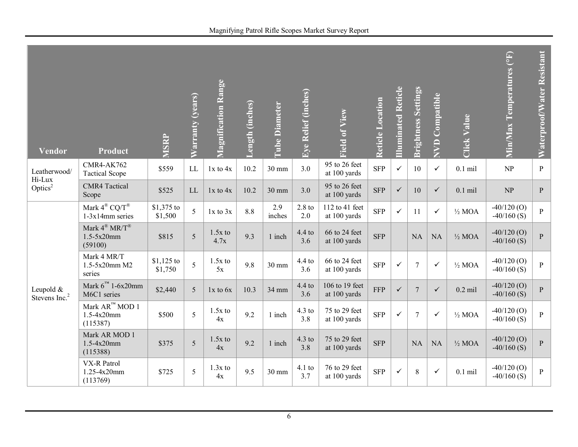| Magnifying Patrol Rifle Scopes Market Survey Report |  |  |  |
|-----------------------------------------------------|--|--|--|
|-----------------------------------------------------|--|--|--|

| <b>Vendor</b>                          | Product                                                                | MSRP                   | Warranty (years) | <b>Magnification Range</b> | <b>Length (inches)</b> | <b>Tube Diameter</b> | Eye Relief (inches) | <b>Field of View</b>           | Reticle Location | <b>Illuminated Reticle</b> | <b>Brightness Settings</b> | <b>NVD Compatible</b> | <b>Click Value</b> | Min/Max Temperatures (°F)       | Waterproof/Water Resistant |
|----------------------------------------|------------------------------------------------------------------------|------------------------|------------------|----------------------------|------------------------|----------------------|---------------------|--------------------------------|------------------|----------------------------|----------------------------|-----------------------|--------------------|---------------------------------|----------------------------|
| Leatherwood/<br>Hi-Lux                 | <b>CMR4-AK762</b><br><b>Tactical Scope</b>                             | \$559                  | LL               | $1x$ to $4x$               | 10.2                   | 30 mm                | 3.0                 | 95 to 26 feet<br>at 100 yards  | <b>SFP</b>       | $\checkmark$               | 10                         | $\checkmark$          | $0.1$ mil          | $\ensuremath{\text{NP}}\xspace$ | $\, {\bf P}$               |
| Optics <sup>2</sup>                    | <b>CMR4</b> Tactical<br>Scope                                          | \$525                  | <b>LL</b>        | $1x$ to $4x$               | 10.2                   | 30 mm                | 3.0                 | 95 to 26 feet<br>at 100 yards  | <b>SFP</b>       | $\checkmark$               | 10                         | $\checkmark$          | $0.1$ mil          | NP                              | $\, {\bf P}$               |
|                                        | Mark $4^{\circledR}$ CQ/T $^{\circledR}$<br>$1-3x14$ mm series         | \$1,375 to<br>\$1,500  | 5                | $1x$ to $3x$               | 8.8                    | 2.9<br>inches        | $2.8$ to<br>2.0     | 112 to 41 feet<br>at 100 yards | <b>SFP</b>       | $\checkmark$               | 11                         | $\checkmark$          | $\frac{1}{2}$ MOA  | $-40/120$ (O)<br>$-40/160$ (S)  | $\, {\bf P}$               |
|                                        | Mark $4^{\circledR}$ MR/T $^{\circledR}$<br>$1.5 - 5x20$ mm<br>(59100) | \$815                  | 5                | $1.5x$ to<br>4.7x          | 9.3                    | 1 inch               | $4.4$ to<br>3.6     | 66 to 24 feet<br>at 100 yards  | <b>SFP</b>       |                            | <b>NA</b>                  | <b>NA</b>             | $\frac{1}{2}$ MOA  | $-40/120$ (O)<br>$-40/160$ (S)  | $\, {\bf p}$               |
|                                        | Mark 4 MR/T<br>1.5-5x20mm M2<br>series                                 | $$1,125$ to<br>\$1,750 | $\overline{5}$   | $1.5x$ to<br>5x            | 9.8                    | 30 mm                | $4.4$ to<br>3.6     | 66 to 24 feet<br>at 100 yards  | <b>SFP</b>       | $\checkmark$               | $\overline{7}$             | $\checkmark$          | $\frac{1}{2}$ MOA  | $-40/120(0)$<br>$-40/160$ (S)   | $\, {\bf p}$               |
| Leupold &<br>Stevens Inc. <sup>2</sup> | Mark $6^{m}$ 1-6x20mm<br>M6C1 series                                   | \$2,440                | 5                | 1x to 6x                   | 10.3                   | 34 mm                | $4.4$ to<br>3.6     | 106 to 19 feet<br>at 100 yards | <b>FFP</b>       | $\checkmark$               | $\overline{7}$             | $\checkmark$          | $0.2$ mil          | $-40/120(0)$<br>$-40/160$ (S)   | $\, {\bf P}$               |
|                                        | Mark $AR^M$ MOD 1<br>1.5-4x20mm<br>(115387)                            | \$500                  | 5                | $1.5x$ to<br>4x            | 9.2                    | 1 inch               | $4.3$ to<br>3.8     | 75 to 29 feet<br>at 100 yards  | <b>SFP</b>       | $\checkmark$               | $\overline{7}$             | $\checkmark$          | $\frac{1}{2}$ MOA  | $-40/120(0)$<br>$-40/160$ (S)   | $\, {\bf P}$               |
|                                        | Mark AR MOD 1<br>$1.5 - 4x20$ mm<br>(115388)                           | \$375                  | 5                | $1.5x$ to<br>4x            | 9.2                    | 1 inch               | $4.3$ to<br>3.8     | 75 to 29 feet<br>at 100 yards  | <b>SFP</b>       |                            | <b>NA</b>                  | <b>NA</b>             | $\frac{1}{2}$ MOA  | $-40/120$ (O)<br>$-40/160$ (S)  | $\overline{P}$             |
|                                        | VX-R Patrol<br>1.25-4x20mm<br>(113769)                                 | \$725                  | 5                | $1.3x$ to<br>4x            | 9.5                    | 30 mm                | $4.1$ to<br>3.7     | 76 to 29 feet<br>at 100 yards  | <b>SFP</b>       | $\checkmark$               | 8                          | $\checkmark$          | $0.1$ mil          | $-40/120$ (O)<br>$-40/160$ (S)  | $\, {\bf P}$               |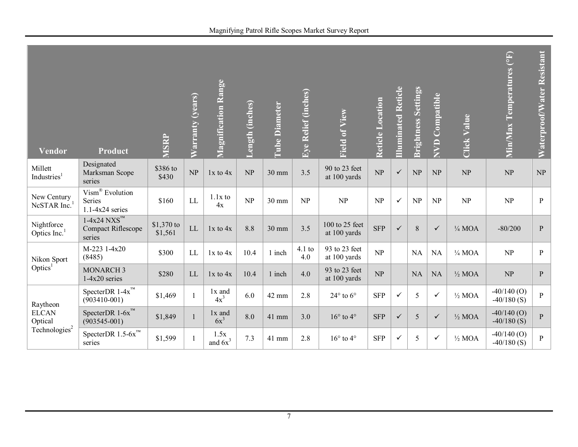| <b>Vendor</b>                           | Product                                                            | <b>MSRP</b>           | Warranty (years) | <b>Magnification Range</b> | Length (inches) | <b>Tube Diameter</b> | Eye Relief (inches) | Field of View                  | Reticle Location                | <b>Illuminated Reticle</b> | <b>Brightness Settings</b> | <b>Compatible</b><br>RVD | <b>Click Value</b> | Min/Max Temperatures (°F)       | Waterproof/Water Resistant |
|-----------------------------------------|--------------------------------------------------------------------|-----------------------|------------------|----------------------------|-----------------|----------------------|---------------------|--------------------------------|---------------------------------|----------------------------|----------------------------|--------------------------|--------------------|---------------------------------|----------------------------|
| Millett<br>Industries <sup>1</sup>      | Designated<br>Marksman Scope<br>series                             | \$386 to<br>\$430     | NP               | $1x$ to $4x$               | NP              | 30 mm                | 3.5                 | 90 to 23 feet<br>at 100 yards  | NP                              | $\checkmark$               | NP                         | NP                       | NP                 | NP                              | <b>NP</b>                  |
| New Century<br>NcSTAR Inc. <sup>1</sup> | Vism® Evolution<br>Series<br>$1.1 - 4x24$ series                   | \$160                 | LL               | $1.1x$ to<br>4x            | NP              | 30 mm                | NP                  | NP                             | NP                              | $\checkmark$               | NP                         | NP                       | NP                 | NP                              | ${\bf P}$                  |
| Nightforce<br>Optics Inc. <sup>1</sup>  | $1-4x24$ NXS <sup>TM</sup><br>Compact Riflescope<br>series         | \$1,370 to<br>\$1,561 | LL               | $1x$ to $4x$               | 8.8             | 30 mm                | 3.5                 | 100 to 25 feet<br>at 100 yards | <b>SFP</b>                      | $\checkmark$               | 8                          | $\checkmark$             | $\frac{1}{4}$ MOA  | $-80/200$                       | ${\bf P}$                  |
| Nikon Sport                             | M-223 1-4x20<br>(8485)                                             | \$300                 | LL               | $1x$ to $4x$               | 10.4            | 1 inch               | $4.1$ to<br>4.0     | 93 to 23 feet<br>at 100 yards  | $\ensuremath{\text{NP}}\xspace$ |                            | <b>NA</b>                  | NA                       | $\frac{1}{4}$ MOA  | $\ensuremath{\text{NP}}\xspace$ | $\, {\bf p}$               |
| Optics <sup>1</sup>                     | <b>MONARCH3</b><br>$1-4x20$ series                                 | \$280                 | LL               | $1x$ to $4x$               | 10.4            | 1 inch               | 4.0                 | 93 to 23 feet<br>at 100 yards  | NP                              |                            | <b>NA</b>                  | <b>NA</b>                | $\frac{1}{2}$ MOA  | $\ensuremath{\text{NP}}\xspace$ | ${\bf P}$                  |
| Raytheon                                | Specter<br>DR $1\text{-}4\text{x}^{\text{TM}}$<br>$(903410 - 001)$ | \$1,469               |                  | 1x and<br>$4x^3$           | 6.0             | 42 mm                | 2.8                 | $24^\circ$ to $6^\circ$        | <b>SFP</b>                      | $\checkmark$               | 5                          | $\checkmark$             | $\frac{1}{2}$ MOA  | $-40/140$ (O)<br>$-40/180$ (S)  | $\overline{P}$             |
| <b>ELCAN</b><br>Optical                 | SpecterDR $1-6x^{m}$<br>$(903545 - 001)$                           | \$1,849               |                  | 1x and<br>$6x^3$           | 8.0             | 41 mm                | 3.0                 | $16^{\circ}$ to $4^{\circ}$    | <b>SFP</b>                      | $\checkmark$               | 5                          | $\checkmark$             | $\frac{1}{2}$ MOA  | $-40/140$ (O)<br>$-40/180$ (S)  | $\mathbf{P}$               |

Technologies $2$ 

SpecterDR  $1.5-6x^{\mathrm{m}}$  \$1,599 1

 $\frac{1.5x}{\text{and } 6x^3}$ 

**Waterproof/Water Resistant**

Waterproof/Water Resistant

7

 $\frac{1.5x}{\text{and } 6x^3}$  7.3 41 mm 2.8  $16^{\circ}$  to 4°  $\left[\text{SFP}\right] \checkmark$  5  $\checkmark$  5  $\checkmark$  1/2 MOA  $\left[\frac{-40/140}{-40/180}(\text{S})\right]$  P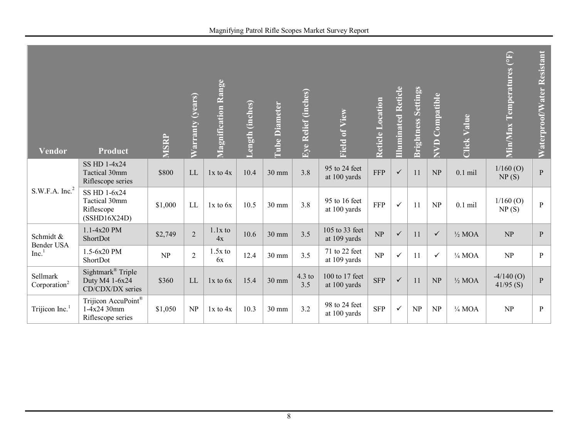| Magnifying Patrol Rifle Scopes Market Survey Report |
|-----------------------------------------------------|
|-----------------------------------------------------|

| <b>Vendor</b>                        | <b>Product</b>                                                      | <b>MSRP</b> | Warranty (years) | <b>Magnification Range</b> | Length (inches) | <b>Tube Diameter</b> | Eye Relief (inches) | Field of View                  | Reticle Location | <b>Illuminated Reticle</b> | <b>Brightness Settings</b> | NVD Compatible | <b>Click Value</b> | $\mathbb{F}$<br><b>Min/Max Temperatures</b> | Waterproof/Water Resistant |
|--------------------------------------|---------------------------------------------------------------------|-------------|------------------|----------------------------|-----------------|----------------------|---------------------|--------------------------------|------------------|----------------------------|----------------------------|----------------|--------------------|---------------------------------------------|----------------------------|
|                                      | SS HD 1-4x24<br>Tactical 30mm<br>Riflescope series                  | \$800       | LL               | $1x$ to $4x$               | 10.4            | 30 mm                | 3.8                 | 95 to 24 feet<br>at 100 yards  | <b>FFP</b>       | $\checkmark$               | 11                         | NP             | $0.1$ mil          | $1/160$ (O)<br>NP(S)                        | $\overline{P}$             |
| S.W.F.A. Inc. <sup>2</sup>           | SS HD 1-6x24<br>Tactical 30mm<br>Riflescope<br>(SSHD16X24D)         | \$1,000     | LL               | $1x$ to $6x$               | 10.5            | 30 mm                | 3.8                 | 95 to 16 feet<br>at 100 yards  | FFP              | $\checkmark$               | 11                         | NP             | $0.1$ mil          | $1/160$ (O)<br>NP(S)                        | $\, {\bf p}$               |
| Schmidt &<br>Bender USA              | 1.1-4x20 PM<br>ShortDot                                             | \$2,749     | $\overline{2}$   | $1.1x$ to<br>4x            | 10.6            | 30 mm                | 3.5                 | 105 to 33 feet<br>at 109 yards | NP               | $\checkmark$               | 11                         | $\checkmark$   | $\frac{1}{2}$ MOA  | NP                                          | ${\bf P}$                  |
| Inc. <sup>1</sup>                    | 1.5-6x20 PM<br>ShortDot                                             | NP          | $\overline{2}$   | $1.5x$ to<br>6x            | 12.4            | 30 mm                | 3.5                 | 71 to 22 feet<br>at 109 yards  | NP               | $\checkmark$               | 11                         | $\checkmark$   | $\frac{1}{4}$ MOA  | NP                                          | $\, {\bf p}$               |
| Sellmark<br>Corporation <sup>2</sup> | Sightmark <sup>®</sup> Triple<br>Duty M4 1-6x24<br>CD/CDX/DX series | \$360       | LL               | $1x$ to $6x$               | 15.4            | 30 mm                | $4.3$ to<br>3.5     | 100 to 17 feet<br>at 100 yards | <b>SFP</b>       | $\checkmark$               | 11                         | NP             | $\frac{1}{2}$ MOA  | $-4/140$ (O)<br>$41/95$ (S)                 | $\, {\bf p}$               |
| Trijicon Inc. $1$                    | Trijicon AccuPoint®<br>$1-4x2430$ mm<br>Riflescope series           | \$1,050     | NP               | $1x$ to $4x$               | 10.3            | 30 mm                | 3.2                 | 98 to 24 feet<br>at 100 yards  | <b>SFP</b>       | $\checkmark$               | NP                         | NP             | $\frac{1}{4}$ MOA  | NP                                          | $\, {\bf p}$               |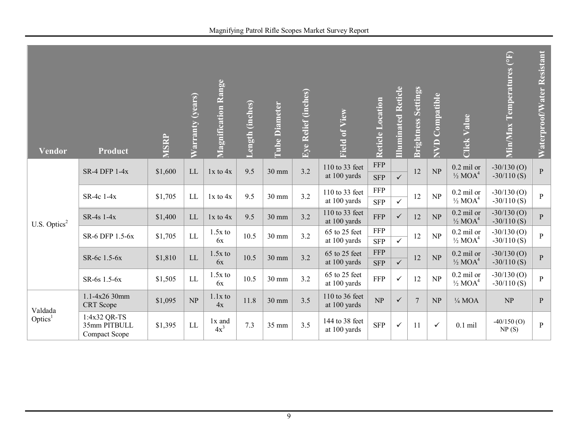| <b>Vendor</b>            | Product                                       | <b>MSRP</b> | Warranty (years)           | <b>Magnification Range</b> | Length (inches) | <b>Tube Diameter</b> | Eye Relief (inches) | Field of View                  | Reticle Location         | <b>Illuminated Reticle</b> | <b>Brightness Settings</b> | <b>NVD Compatible</b> | <b>Click Value</b>                             | $\overline{(\mathrm{P})}$<br>Min/Max Temperatures | Waterproof/Water Resistant |
|--------------------------|-----------------------------------------------|-------------|----------------------------|----------------------------|-----------------|----------------------|---------------------|--------------------------------|--------------------------|----------------------------|----------------------------|-----------------------|------------------------------------------------|---------------------------------------------------|----------------------------|
|                          | <b>SR-4 DFP 1-4x</b>                          | \$1,600     | LL                         | $1x$ to $4x$               | 9.5             | $30 \text{ mm}$      | 3.2                 | 110 to 33 feet<br>at 100 yards | <b>FFP</b><br><b>SFP</b> | $\checkmark$               | 12                         | NP                    | $0.2$ mil or<br>$\frac{1}{2}$ MOA <sup>4</sup> | $-30/130$ (O)<br>$-30/110$ (S)                    | $\mathbf{P}$               |
|                          | SR-4c 1-4x                                    | \$1,705     | $\mathop{\rm LL}\nolimits$ | $1x$ to $4x$               | 9.5             | 30 mm                | 3.2                 | 110 to 33 feet<br>at 100 yards | <b>FFP</b><br><b>SFP</b> | $\checkmark$               | 12                         | NP                    | $0.2$ mil or<br>$\frac{1}{2}$ MOA <sup>4</sup> | $-30/130$ (O)<br>$-30/110$ (S)                    | $\mathbf{P}$               |
| U.S. Optics <sup>2</sup> | SR-4s 1-4x                                    | \$1,400     | ${\rm LL}$                 | $1x$ to $4x$               | 9.5             | 30 mm                | 3.2                 | 110 to 33 feet<br>at 100 yards | <b>FFP</b>               | $\checkmark$               | 12                         | NP                    | $0.2$ mil or<br>$\frac{1}{2}$ MOA <sup>4</sup> | $-30/130(0)$<br>$-30/110$ (S)                     | $\mathbf{P}$               |
|                          | SR-6 DFP 1.5-6x                               | \$1,705     | LL                         | $1.5x$ to<br>6x            | 10.5            | 30 mm                | 3.2                 | 65 to 25 feet<br>at 100 yards  | <b>FFP</b><br><b>SFP</b> | $\overline{\checkmark}$    | 12                         | NP                    | $0.2$ mil or<br>$\frac{1}{2}$ MOA <sup>4</sup> | $-30/130$ (O)<br>$-30/110$ (S)                    | $\mathbf{P}$               |
|                          | SR-6c 1.5-6x                                  | \$1,810     | LL                         | $1.5x$ to<br>6x            | 10.5            | 30 mm                | 3.2                 | 65 to 25 feet<br>at 100 yards  | <b>FFP</b><br><b>SFP</b> | $\checkmark$               | 12                         | NP                    | $0.2$ mil or<br>$\frac{1}{2}$ MOA <sup>4</sup> | $-30/130$ (O)<br>$-30/110$ (S)                    | $\overline{P}$             |
|                          | SR-6s 1.5-6x                                  | \$1,505     | LL                         | $1.5x$ to<br>6x            | 10.5            | 30 mm                | 3.2                 | 65 to 25 feet<br>at 100 yards  | FFP                      | $\checkmark$               | 12                         | NP                    | $0.2$ mil or<br>$\frac{1}{2}$ MOA <sup>4</sup> | $-30/130$ (O)<br>$-30/110$ (S)                    | $\mathbf{P}$               |
| Valdada                  | 1.1-4x26 30mm<br>CRT Scope                    | \$1,095     | NP                         | $1.1x$ to<br>4x            | 11.8            | $30 \text{ mm}$      | 3.5                 | 110 to 36 feet<br>at 100 yards | NP                       | $\checkmark$               | $\overline{7}$             | NP                    | $\frac{1}{4}$ MOA                              | NP                                                | ${\bf P}$                  |
| Optics <sup>1</sup>      | 1:4x32 QR-TS<br>35mm PITBULL<br>Compact Scope | \$1,395     | LL                         | 1x and<br>$4x^3$           | 7.3             | 35 mm                | 3.5                 | 144 to 38 feet<br>at 100 yards | <b>SFP</b>               | $\checkmark$               | 11                         | $\checkmark$          | $0.1$ mil                                      | $-40/150$ (O)<br>NP(S)                            | $\mathbf{P}$               |

9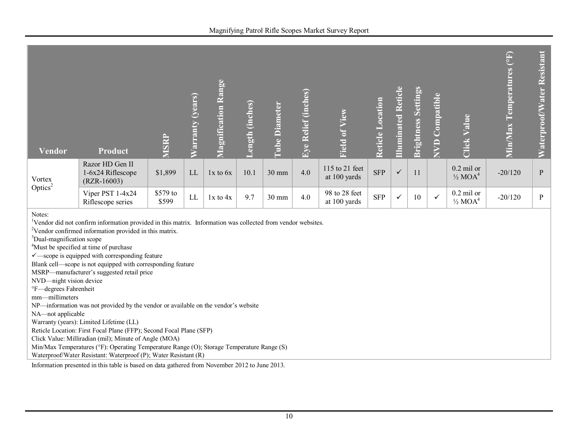| Vendor                                                                                      | <b>Product</b>                                                                                                                                                                                                                                                                                                                                                                                                                                                                                                                                                                                                                                                                                                                                                                                                                                                                                                  | <b>MSRP</b>       | Warranty (years) | <b>Magnification Range</b> | Length (inches) | <b>Tube Diameter</b> | Eye Relief (inches) | Field of View                  | Reticle Location | <b>Illuminated Reticle</b> | <b>Brightness Settings</b> | <b>NVD</b> Compatible | <b>Click Value</b>                             | $\left( \begin{matrix} 4 & 0 \\ 0 & 1 \end{matrix} \right)$<br><b>Min/Max Temperatures</b> | Waterproof/Water Resistant |
|---------------------------------------------------------------------------------------------|-----------------------------------------------------------------------------------------------------------------------------------------------------------------------------------------------------------------------------------------------------------------------------------------------------------------------------------------------------------------------------------------------------------------------------------------------------------------------------------------------------------------------------------------------------------------------------------------------------------------------------------------------------------------------------------------------------------------------------------------------------------------------------------------------------------------------------------------------------------------------------------------------------------------|-------------------|------------------|----------------------------|-----------------|----------------------|---------------------|--------------------------------|------------------|----------------------------|----------------------------|-----------------------|------------------------------------------------|--------------------------------------------------------------------------------------------|----------------------------|
| Vortex                                                                                      | Razor HD Gen II<br>1-6x24 Riflescope<br>$(RZR-16003)$                                                                                                                                                                                                                                                                                                                                                                                                                                                                                                                                                                                                                                                                                                                                                                                                                                                           | \$1,899           | LL               | $1x$ to $6x$               | 10.1            | 30 mm                | 4.0                 | 115 to 21 feet<br>at 100 yards | <b>SFP</b>       | $\checkmark$               | 11                         |                       | $0.2$ mil or<br>$\frac{1}{2}$ MOA <sup>4</sup> | $-20/120$                                                                                  | $\, {\bf p}$               |
| Optics <sup>2</sup>                                                                         | Viper PST 1-4x24<br>Riflescope series                                                                                                                                                                                                                                                                                                                                                                                                                                                                                                                                                                                                                                                                                                                                                                                                                                                                           | \$579 to<br>\$599 | LL               | $1x$ to $4x$               | 9.7             | $30 \text{ mm}$      | 4.0                 | 98 to 28 feet<br>at 100 yards  | <b>SFP</b>       | $\checkmark$               | 10                         | $\checkmark$          | $0.2$ mil or<br>$\frac{1}{2}$ MOA <sup>4</sup> | $-20/120$                                                                                  | $\mathbf{P}$               |
| Notes:<br>mm-millimeters<br>Waterproof/Water Resistant: Waterproof (P); Water Resistant (R) | <sup>1</sup> Vendor did not confirm information provided in this matrix. Information was collected from vendor websites.<br><sup>2</sup> Vendor confirmed information provided in this matrix.<br><sup>3</sup> Dual-magnification scope<br><sup>4</sup> Must be specified at time of purchase<br>$\checkmark$ -scope is equipped with corresponding feature<br>Blank cell—scope is not equipped with corresponding feature<br>MSRP-manufacturer's suggested retail price<br>NVD-night vision device<br>°F-degrees Fahrenheit<br>NP-information was not provided by the vendor or available on the vendor's website<br>NA-not applicable<br>Warranty (years): Limited Lifetime (LL)<br>Reticle Location: First Focal Plane (FFP); Second Focal Plane (SFP)<br>Click Value: Milliradian (mil); Minute of Angle (MOA)<br>Min/Max Temperatures (°F): Operating Temperature Range (O); Storage Temperature Range (S) |                   |                  |                            |                 |                      |                     |                                |                  |                            |                            |                       |                                                |                                                                                            |                            |

Information presented in this table is based on data gathered from November 2012 to June 2013.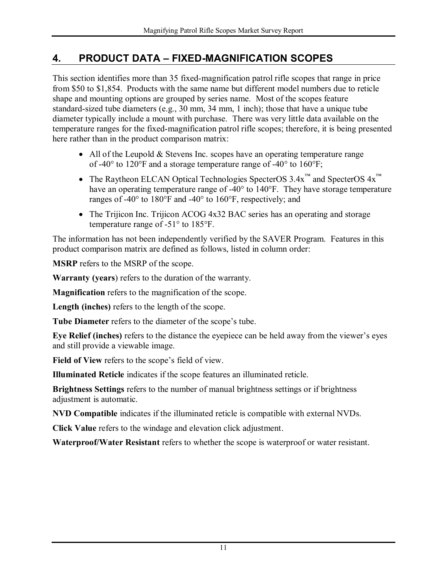## <span id="page-15-0"></span>**4. PRODUCT DATA – FIXED-MAGNIFICATION SCOPES**

This section identifies more than 35 fixed-magnification patrol rifle scopes that range in price from \$50 to \$1,854. Products with the same name but different model numbers due to reticle shape and mounting options are grouped by series name. Most of the scopes feature standard-sized tube diameters (e.g., 30 mm, 34 mm, 1 inch); those that have a unique tube diameter typically include a mount with purchase. There was very little data available on the temperature ranges for the fixed-magnification patrol rifle scopes; therefore, it is being presented here rather than in the product comparison matrix:

- $\bullet$  All of the Leupold & Stevens Inc. scopes have an operating temperature range of -40° to 120°F and a storage temperature range of -40° to 160°F;
- The Raytheon ELCAN Optical Technologies SpecterOS  $3.4x^{\text{TM}}$  and SpecterOS  $4x^{\text{TM}}$ have an operating temperature range of -40° to 140°F. They have storage temperature ranges of -40° to 180°F and -40° to 160°F, respectively; and
- The Trijicon Inc. Trijicon ACOG 4x32 BAC series has an operating and storage temperature range of -51° to 185°F.

The information has not been independently verified by the SAVER Program. Features in this product comparison matrix are defined as follows, listed in column order:

**MSRP** refers to the MSRP of the scope.

**Warranty (years**) refers to the duration of the warranty.

**Magnification** refers to the magnification of the scope.

**Length (inches)** refers to the length of the scope.

**Tube Diameter** refers to the diameter of the scope's tube.

**Eye Relief (inches)** refers to the distance the eyepiece can be held away from the viewer's eyes and still provide a viewable image.

**Field of View** refers to the scope's field of view.

**Illuminated Reticle** indicates if the scope features an illuminated reticle.

**Brightness Settings** refers to the number of manual brightness settings or if brightness adjustment is automatic.

**NVD Compatible** indicates if the illuminated reticle is compatible with external NVDs.

**Click Value** refers to the windage and elevation click adjustment.

**Waterproof/Water Resistant** refers to whether the scope is waterproof or water resistant.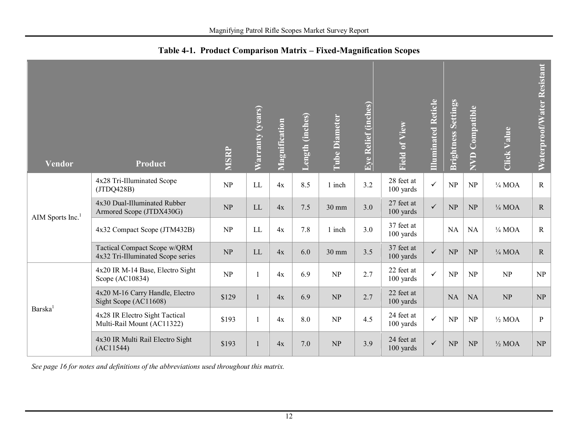<span id="page-16-0"></span>

| <b>Vendor</b>       | <b>Product</b>                                                    | <b>MSRP</b>                     | Warranty (years)           | Magnification | Length (inches) | <b>Tube Diameter</b>            | Eye Relief (inches) | <b>Field of View</b>    | <b>Illuminated Reticle</b> | <b>Brightness Settings</b> | Compatible<br><b>AVD</b> | <b>Click Value</b> | Waterproof/Water Resistant |
|---------------------|-------------------------------------------------------------------|---------------------------------|----------------------------|---------------|-----------------|---------------------------------|---------------------|-------------------------|----------------------------|----------------------------|--------------------------|--------------------|----------------------------|
|                     | 4x28 Tri-Illuminated Scope<br>(JTDQ428B)                          | NP                              | LL                         | 4x            | 8.5             | 1 inch                          | 3.2                 | 28 feet at<br>100 yards | $\checkmark$               | NP                         | NP                       | $\frac{1}{4}$ MOA  | $\mathbf R$                |
| AIM Sports Inc. $1$ | 4x30 Dual-Illuminated Rubber<br>Armored Scope (JTDX430G)          | NP                              | $\mathop{\rm LL}\nolimits$ | 4x            | 7.5             | 30 mm                           | 3.0                 | 27 feet at<br>100 yards | $\checkmark$               | NP                         | NP                       | $\frac{1}{4}$ MOA  | $\mathbf R$                |
|                     | 4x32 Compact Scope (JTM432B)                                      | $\ensuremath{\text{NP}}\xspace$ | LL                         | 4x            | 7.8             | 1 inch                          | 3.0                 | 37 feet at<br>100 yards |                            | NA                         | <b>NA</b>                | $\frac{1}{4}$ MOA  | $\mathbf R$                |
|                     | Tactical Compact Scope w/QRM<br>4x32 Tri-Illuminated Scope series | NP                              | LL                         | 4x            | 6.0             | 30 mm                           | 3.5                 | 37 feet at<br>100 yards | $\checkmark$               | NP                         | NP                       | $\frac{1}{4}$ MOA  | $\mathbf R$                |
|                     | 4x20 IR M-14 Base, Electro Sight<br>Scope (AC10834)               | NP                              |                            | 4x            | 6.9             | NP                              | 2.7                 | 22 feet at<br>100 yards | $\checkmark$               | NP                         | NP                       | NP                 | NP                         |
|                     | 4x20 M-16 Carry Handle, Electro<br>Sight Scope (AC11608)          | \$129                           |                            | 4x            | 6.9             | NP                              | 2.7                 | 22 feet at<br>100 yards |                            | <b>NA</b>                  | <b>NA</b>                | NP                 | NP                         |
| Barska <sup>1</sup> | 4x28 IR Electro Sight Tactical<br>Multi-Rail Mount (AC11322)      | \$193                           |                            | 4x            | 8.0             | NP                              | 4.5                 | 24 feet at<br>100 yards | $\checkmark$               | NP                         | NP                       | $\frac{1}{2}$ MOA  | $\mathbf{P}$               |
|                     | 4x30 IR Multi Rail Electro Sight<br>(AC11544)                     | \$193                           |                            | 4x            | 7.0             | $\ensuremath{\text{NP}}\xspace$ | 3.9                 | 24 feet at<br>100 yards | $\checkmark$               | NP                         | NP                       | $\frac{1}{2}$ MOA  | NP                         |

**Table 4-1. Product Comparison Matrix – Fixed-Magnification Scopes** 

*See page 16 for notes and definitions of the abbreviations used throughout this matrix.*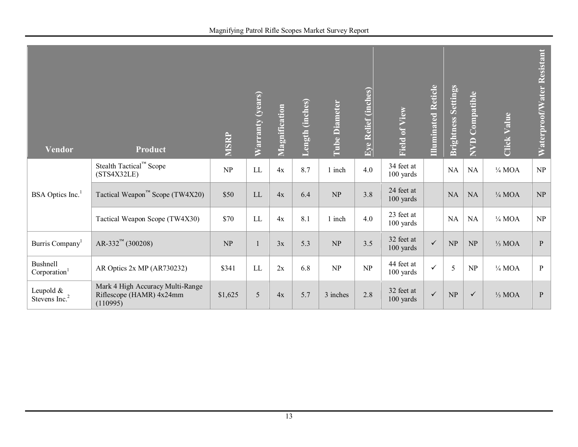| Vendor                                      | <b>Product</b>                                                           | <b>MSRP</b> | Warranty (years) | Magnification | Length (inches) | <b>Tube Diameter</b>            | Eye Relief (inches) | Field of View           | Illuminated Reticle | <b>Brightness Settings</b> | Compatible<br><b>AND</b> | <b>Click Value</b> | Waterproof/Water Resistant |
|---------------------------------------------|--------------------------------------------------------------------------|-------------|------------------|---------------|-----------------|---------------------------------|---------------------|-------------------------|---------------------|----------------------------|--------------------------|--------------------|----------------------------|
|                                             | Stealth Tactical <sup>™</sup> Scope<br>(STS4X32LE)                       | NP          | $\rm LL$         | 4x            | 8.7             | 1 inch                          | 4.0                 | 34 feet at<br>100 yards |                     | $\rm NA$                   | NA                       | $\frac{1}{4}$ MOA  | NP                         |
| BSA Optics Inc. <sup>1</sup>                | Tactical Weapon <sup>™</sup> Scope (TW4X20)                              | \$50        | LL               | 4x            | 6.4             | NP                              | 3.8                 | 24 feet at<br>100 yards |                     | <b>NA</b>                  | NA                       | $\frac{1}{4}$ MOA  | NP                         |
|                                             | Tactical Weapon Scope (TW4X30)                                           | \$70        | LL               | 4x            | 8.1             | 1 inch                          | 4.0                 | 23 feet at<br>100 yards |                     | $\rm NA$                   | $\rm NA$                 | $\frac{1}{4}$ MOA  | NP                         |
| Burris Company <sup>1</sup>                 | $AR-332^{m}$ (300208)                                                    | NP          |                  | 3x            | 5.3             | $\ensuremath{\text{NP}}\xspace$ | 3.5                 | 32 feet at<br>100 yards | $\checkmark$        | NP                         | NP                       | $\frac{1}{3}$ MOA  | $\mathbf{P}$               |
| <b>Bushnell</b><br>Corporation <sup>1</sup> | AR Optics 2x MP (AR730232)                                               | \$341       | LL               | 2x            | 6.8             | NP                              | NP                  | 44 feet at<br>100 yards | $\checkmark$        | 5                          | NP                       | $\frac{1}{4}$ MOA  | $\mathbf{P}$               |
| Leupold $&$<br>Stevens Inc. <sup>2</sup>    | Mark 4 High Accuracy Multi-Range<br>Riflescope (HAMR) 4x24mm<br>(110995) | \$1,625     | 5                | 4x            | 5.7             | 3 inches                        | 2.8                 | 32 feet at<br>100 yards | $\checkmark$        | NP                         | $\checkmark$             | $\frac{1}{3}$ MOA  | $\mathbf{P}$               |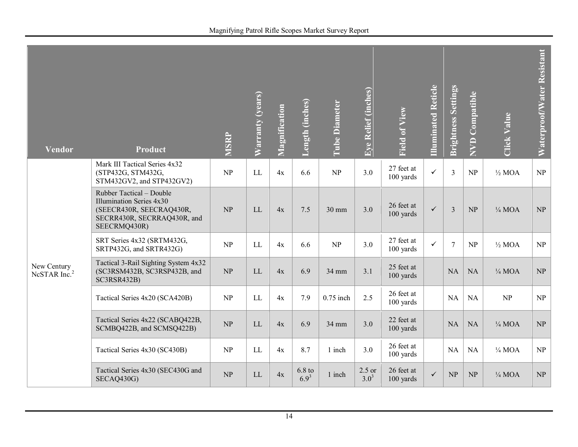| Vendor                                  | <b>Product</b>                                                                                                                  | MSRP                            | Warranty (years)           | Magnification | Length (inches)       | <b>Tube Diameter</b> | Eye Relief (inches)   | Field of View           | Illuminated Reticle | <b>Brightness Settings</b> | NVD Compatible | <b>Click Value</b> | Waterproof/Water Resistant      |
|-----------------------------------------|---------------------------------------------------------------------------------------------------------------------------------|---------------------------------|----------------------------|---------------|-----------------------|----------------------|-----------------------|-------------------------|---------------------|----------------------------|----------------|--------------------|---------------------------------|
|                                         | Mark III Tactical Series 4x32<br>(STP432G, STM432G,<br>STM432GV2, and STP432GV2)                                                | NP                              | LL                         | 4x            | 6.6                   | NP                   | 3.0                   | 27 feet at<br>100 yards | $\checkmark$        | $\overline{3}$             | NP             | $\frac{1}{2}$ MOA  | NP                              |
|                                         | Rubber Tactical - Double<br>Illumination Series 4x30<br>(SEECR430R, SEECRAQ430R,<br>SECRR430R, SECRRAQ430R, and<br>SEECRMQ430R) | NP                              | <b>LL</b>                  | 4x            | 7.5                   | 30 mm                | 3.0                   | 26 feet at<br>100 yards | $\checkmark$        | $\overline{3}$             | NP             | $\frac{1}{4}$ MOA  | NP                              |
|                                         | SRT Series 4x32 (SRTM432G,<br>SRTP432G, and SRTR432G)                                                                           | NP                              | LL                         | 4x            | 6.6                   | NP                   | 3.0                   | 27 feet at<br>100 yards | $\checkmark$        | $7\phantom{.0}$            | NP             | $\frac{1}{2}$ MOA  | NP                              |
| New Century<br>NcSTAR Inc. <sup>2</sup> | Tactical 3-Rail Sighting System 4x32<br>(SC3RSM432B, SC3RSP432B, and<br>SC3RSR432B)                                             | NP                              | LL                         | 4x            | 6.9                   | 34 mm                | 3.1                   | 25 feet at<br>100 yards |                     | NA                         | NA             | $\frac{1}{4}$ MOA  | NP                              |
|                                         | Tactical Series 4x20 (SCA420B)                                                                                                  | NP                              | LL                         | 4x            | 7.9                   | $0.75$ inch          | 2.5                   | 26 feet at<br>100 yards |                     | NA                         | <b>NA</b>      | NP                 | NP                              |
|                                         | Tactical Series 4x22 (SCABQ422B,<br>SCMBQ422B, and SCMSQ422B)                                                                   | $\ensuremath{\text{NP}}\xspace$ | $\mathop{\rm LL}\nolimits$ | 4x            | 6.9                   | 34 mm                | 3.0                   | 22 feet at<br>100 yards |                     | NA                         | NA             | $\frac{1}{4}$ MOA  | $\ensuremath{\text{NP}}\xspace$ |
|                                         | Tactical Series 4x30 (SC430B)                                                                                                   | NP                              | LL                         | 4x            | 8.7                   | 1 inch               | 3.0                   | 26 feet at<br>100 yards |                     | NA                         | <b>NA</b>      | $\frac{1}{4}$ MOA  | NP                              |
|                                         | Tactical Series 4x30 (SEC430G and<br>SECAQ430G)                                                                                 | NP                              | LL                         | 4x            | $6.8$ to<br>$6.9^{3}$ | 1 inch               | $2.5$ or<br>$3.0^{3}$ | 26 feet at<br>100 yards | $\checkmark$        | NP                         | NP             | $\frac{1}{4}$ MOA  | NP                              |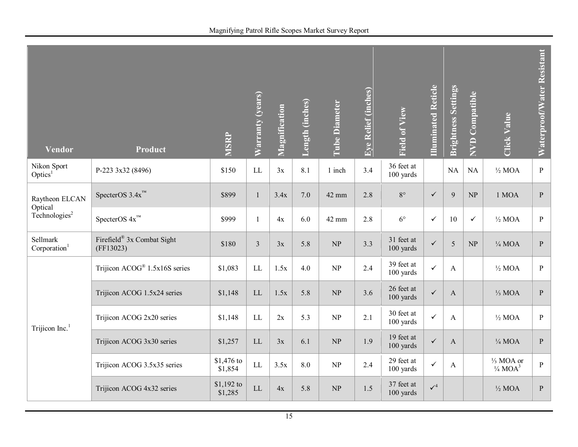| <b>Vendor</b>                        | Product                                   | MSRP                  | Warranty (years)           | Magnification | Length (inches) | <b>Tube Diameter</b>            | Eye Relief (inches) | Field of View           | Illuminated Reticle | <b>Brightness Settings</b> | NVD Compatible | Click Value                                              | Waterproof/Water Resistant |
|--------------------------------------|-------------------------------------------|-----------------------|----------------------------|---------------|-----------------|---------------------------------|---------------------|-------------------------|---------------------|----------------------------|----------------|----------------------------------------------------------|----------------------------|
| Nikon Sport<br>Optics <sup>1</sup>   | P-223 3x32 (8496)                         | \$150                 | $\rm LL$                   | 3x            | 8.1             | 1 inch                          | 3.4                 | 36 feet at<br>100 yards |                     | NA                         | <b>NA</b>      | $\frac{1}{2}$ MOA                                        | $\, {\bf P}$               |
| Raytheon ELCAN<br>Optical            | SpecterOS $3.4x^{m}$                      | \$899                 | $\mathbf{1}$               | 3.4x          | 7.0             | 42 mm                           | 2.8                 | $8^{\circ}$             | $\checkmark$        | 9                          | NP             | 1 MOA                                                    | $\, {\bf P}$               |
| Technologies <sup>2</sup>            | SpecterOS $4x^{\text{\tiny{TM}}}$         | \$999                 | 1                          | 4x            | 6.0             | 42 mm                           | 2.8                 | $6^{\circ}$             | $\checkmark$        | 10                         | $\checkmark$   | $\frac{1}{2}$ MOA                                        | $\, {\bf P}$               |
| Sellmark<br>Corporation <sup>1</sup> | Firefield® 3x Combat Sight<br>(FF13023)   | \$180                 | $\overline{3}$             | 3x            | 5.8             | $\ensuremath{\text{NP}}\xspace$ | 3.3                 | 31 feet at<br>100 yards | $\checkmark$        | 5                          | NP             | $\frac{1}{4}$ MOA                                        | $\, {\bf P}$               |
|                                      | Trijicon ACOG <sup>®</sup> 1.5x16S series | \$1,083               | LL                         | 1.5x          | 4.0             | NP                              | 2.4                 | 39 feet at<br>100 yards | $\checkmark$        | $\mathbf{A}$               |                | $\frac{1}{2}$ MOA                                        | $\, {\bf P}$               |
|                                      | Trijicon ACOG 1.5x24 series               | \$1,148               | $\mathop{\rm LL}\nolimits$ | 1.5x          | 5.8             | $\ensuremath{\text{NP}}\xspace$ | 3.6                 | 26 feet at<br>100 yards | $\checkmark$        | $\mathbf{A}$               |                | $\frac{1}{3}$ MOA                                        | $\, {\bf P}$               |
| Trijicon Inc. $1$                    | Trijicon ACOG 2x20 series                 | \$1,148               | LL                         | 2x            | 5.3             | NP                              | 2.1                 | 30 feet at<br>100 yards | $\checkmark$        | $\mathbf{A}$               |                | $\frac{1}{2}$ MOA                                        | $\mathbf{P}$               |
|                                      | Trijicon ACOG 3x30 series                 | \$1,257               | LL                         | 3x            | 6.1             | $\ensuremath{\text{NP}}\xspace$ | 1.9                 | 19 feet at<br>100 yards | $\checkmark$        | $\mathbf{A}$               |                | $\frac{1}{4}$ MOA                                        | $\, {\bf p}$               |
|                                      | Trijicon ACOG 3.5x35 series               | \$1,476 to<br>\$1,854 | $\mathop{\rm LL}$          | 3.5x          | 8.0             | NP                              | 2.4                 | 29 feet at<br>100 yards | $\checkmark$        | $\mathbf{A}$               |                | 1/ <sub>3</sub> MOA or<br>$\frac{1}{4}$ MOA <sup>3</sup> | $\, {\bf P}$               |
|                                      | Trijicon ACOG 4x32 series                 | \$1,192 to<br>\$1,285 | LL                         | $4x$          | 5.8             | $\ensuremath{\text{NP}}\xspace$ | 1.5                 | 37 feet at<br>100 yards | $\checkmark^4$      |                            |                | $\frac{1}{2}$ MOA                                        | $\, {\bf P}$               |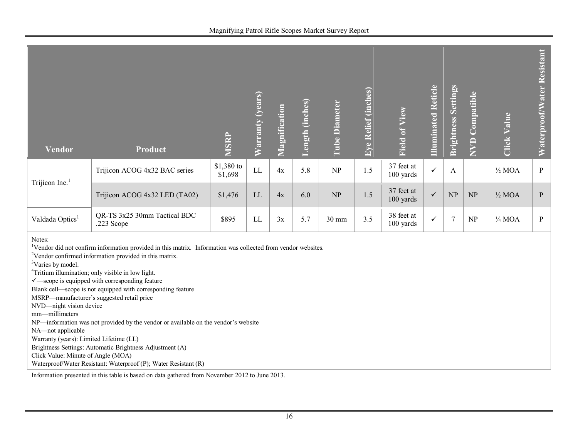| Vendor                                                                                                                                                                                                                                                                                                                                                                                                                                                                                                                                                                                                                                                                                                                                               | Product                                    | MSRP                  | Warranty (years) | Magnification | Length (inches) | <b>Tube Diameter</b>            | Eye Relief (inches) | Field of View           | <b>Illuminated Reticle</b> | <b>Brightness Settings</b> | NVD Compatible | <b>Click Value</b> | Waterproof/Water Resistant |
|------------------------------------------------------------------------------------------------------------------------------------------------------------------------------------------------------------------------------------------------------------------------------------------------------------------------------------------------------------------------------------------------------------------------------------------------------------------------------------------------------------------------------------------------------------------------------------------------------------------------------------------------------------------------------------------------------------------------------------------------------|--------------------------------------------|-----------------------|------------------|---------------|-----------------|---------------------------------|---------------------|-------------------------|----------------------------|----------------------------|----------------|--------------------|----------------------------|
| Trijicon Inc. $1$                                                                                                                                                                                                                                                                                                                                                                                                                                                                                                                                                                                                                                                                                                                                    | Trijicon ACOG 4x32 BAC series              | \$1,380 to<br>\$1,698 | ${\rm LL}$       | 4x            | 5.8             | NP                              | 1.5                 | 37 feet at<br>100 yards | $\checkmark$               | $\mathbf{A}$               |                | $\frac{1}{2}$ MOA  | $\, {\bf P}$               |
|                                                                                                                                                                                                                                                                                                                                                                                                                                                                                                                                                                                                                                                                                                                                                      | Trijicon ACOG 4x32 LED (TA02)              | \$1,476               | LL               | 4x            | 6.0             | $\ensuremath{\text{NP}}\xspace$ | $1.5$               | 37 feet at<br>100 yards | $\checkmark$               | NP                         | NP             | $\frac{1}{2}$ MOA  | ${\bf P}$                  |
| Valdada Optics <sup>1</sup>                                                                                                                                                                                                                                                                                                                                                                                                                                                                                                                                                                                                                                                                                                                          | QR-TS 3x25 30mm Tactical BDC<br>.223 Scope | \$895                 | LL               | 3x            | 5.7             | 30 mm                           | 3.5                 | 38 feet at<br>100 yards | $\checkmark$               | $\overline{7}$             | NP             | $\frac{1}{4}$ MOA  | $\mathbf{P}$               |
| Notes:<br><sup>1</sup> Vendor did not confirm information provided in this matrix. Information was collected from vendor websites.<br><sup>2</sup> Vendor confirmed information provided in this matrix.<br><sup>3</sup> Varies by model.<br><sup>4</sup> Tritium illumination; only visible in low light.<br>$\checkmark$ -scope is equipped with corresponding feature<br>Blank cell—scope is not equipped with corresponding feature<br>MSRP-manufacturer's suggested retail price<br>NVD-night vision device<br>mm-millimeters<br>NP-information was not provided by the vendor or available on the vendor's website<br>NA-not applicable<br>Warranty (years): Limited Lifetime (LL)<br>Brightness Settings: Automatic Brightness Adjustment (A) |                                            |                       |                  |               |                 |                                 |                     |                         |                            |                            |                |                    |                            |

Click Value: Minute of Angle (MOA)

Waterproof/Water Resistant: Waterproof (P); Water Resistant (R)

Information presented in this table is based on data gathered from November 2012 to June 2013.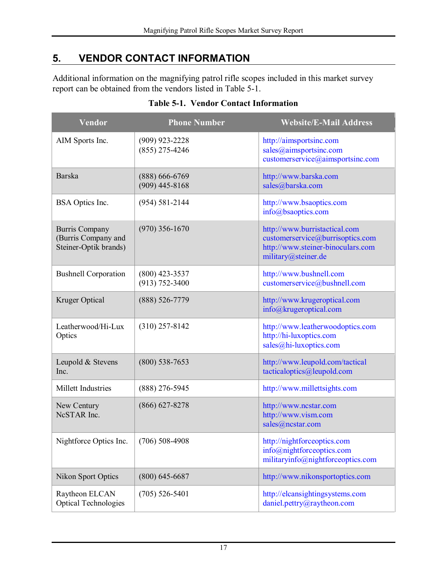## <span id="page-21-0"></span>**5. VENDOR CONTACT INFORMATION**

Additional information on the magnifying patrol rifle scopes included in this market survey report can be obtained from the vendors listed in Table 5-1.

<span id="page-21-1"></span>

| Vendor                                                                | <b>Phone Number</b>                    | <b>Website/E-Mail Address</b>                                                                                                 |
|-----------------------------------------------------------------------|----------------------------------------|-------------------------------------------------------------------------------------------------------------------------------|
| AIM Sports Inc.                                                       | $(909)$ 923-2228<br>$(855)$ 275-4246   | http://aimsportsinc.com<br>sales@aimsportsinc.com<br>customerservice@aimsportsinc.com                                         |
| <b>Barska</b>                                                         | $(888) 666-6769$<br>$(909)$ 445-8168   | http://www.barska.com<br>sales@barska.com                                                                                     |
| BSA Optics Inc.                                                       | $(954) 581 - 2144$                     | http://www.bsaoptics.com<br>info@bsaoptics.com                                                                                |
| <b>Burris Company</b><br>(Burris Company and<br>Steiner-Optik brands) | $(970)$ 356-1670                       | http://www.burristactical.com<br>customerservice@burrisoptics.com<br>http://www.steiner-binoculars.com<br>military@steiner.de |
| <b>Bushnell Corporation</b>                                           | $(800)$ 423-3537<br>$(913) 752 - 3400$ | http://www.bushnell.com<br>customerservice@bushnell.com                                                                       |
| Kruger Optical                                                        | $(888) 526 - 7779$                     | http://www.krugeroptical.com<br>info@krugeroptical.com                                                                        |
| Leatherwood/Hi-Lux<br>Optics                                          | $(310)$ 257-8142                       | http://www.leatherwoodoptics.com<br>http://hi-luxoptics.com<br>sales@hi-luxoptics.com                                         |
| Leupold & Stevens<br>Inc.                                             | $(800)$ 538-7653                       | http://www.leupold.com/tactical<br>tacticaloptics@leupold.com                                                                 |
| Millett Industries                                                    | $(888)$ 276-5945                       | http://www.millettsights.com                                                                                                  |
| New Century<br>NcSTAR Inc.                                            | $(866) 627 - 8278$                     | http://www.ncstar.com<br>http://www.vism.com<br>sales@ncstar.com                                                              |
| Nightforce Optics Inc.                                                | $(706)$ 508-4908                       | http://nightforceoptics.com<br>info@nightforceoptics.com<br>militaryinfo@nightforceoptics.com                                 |
| Nikon Sport Optics                                                    | $(800)$ 645-6687                       | http://www.nikonsportoptics.com                                                                                               |
| Raytheon ELCAN<br><b>Optical Technologies</b>                         | $(705)$ 526-5401                       | http://elcansightingsystems.com<br>daniel.pettry@raytheon.com                                                                 |

#### **Table 5-1. Vendor Contact Information**